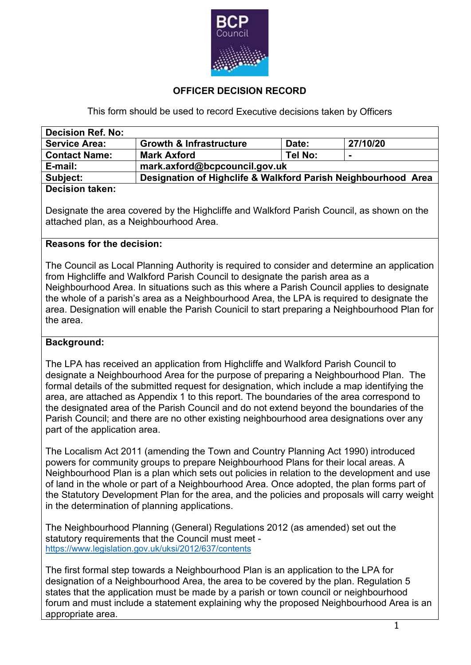

## **OFFICER DECISION RECORD**

This form should be used to record Executive decisions taken by Officers

| <b>Decision Ref. No:</b> |                                                               |         |                |
|--------------------------|---------------------------------------------------------------|---------|----------------|
| <b>Service Area:</b>     | <b>Growth &amp; Infrastructure</b>                            | Date:   | 27/10/20       |
| <b>Contact Name:</b>     | <b>Mark Axford</b>                                            | Tel No: | $\blacksquare$ |
| E-mail:                  | mark.axford@bcpcouncil.gov.uk                                 |         |                |
| Subject:                 | Designation of Highclife & Walkford Parish Neighbourhood Area |         |                |
| Decision taken:          |                                                               |         |                |

### **Decision taken:**

Designate the area covered by the Highcliffe and Walkford Parish Council, as shown on the attached plan, as a Neighbourhood Area.

#### **Reasons for the decision:**

The Council as Local Planning Authority is required to consider and determine an application from Highcliffe and Walkford Parish Council to designate the parish area as a Neighbourhood Area. In situations such as this where a Parish Council applies to designate the whole of a parish's area as a Neighbourhood Area, the LPA is required to designate the area. Designation will enable the Parish Counicil to start preparing a Neighbourhood Plan for the area.

#### **Background:**

The LPA has received an application from Highcliffe and Walkford Parish Council to designate a Neighbourhood Area for the purpose of preparing a Neighbourhood Plan. The formal details of the submitted request for designation, which include a map identifying the area, are attached as Appendix 1 to this report. The boundaries of the area correspond to the designated area of the Parish Council and do not extend beyond the boundaries of the Parish Council; and there are no other existing neighbourhood area designations over any part of the application area.

The Localism Act 2011 (amending the Town and Country Planning Act 1990) introduced powers for community groups to prepare Neighbourhood Plans for their local areas. A Neighbourhood Plan is a plan which sets out policies in relation to the development and use of land in the whole or part of a Neighbourhood Area. Once adopted, the plan forms part of the Statutory Development Plan for the area, and the policies and proposals will carry weight in the determination of planning applications.

The Neighbourhood Planning (General) Regulations 2012 (as amended) set out the statutory requirements that the Council must meet <https://www.legislation.gov.uk/uksi/2012/637/contents>

The first formal step towards a Neighbourhood Plan is an application to the LPA for designation of a Neighbourhood Area, the area to be covered by the plan. Regulation 5 states that the application must be made by a parish or town council or neighbourhood forum and must include a statement explaining why the proposed Neighbourhood Area is an appropriate area.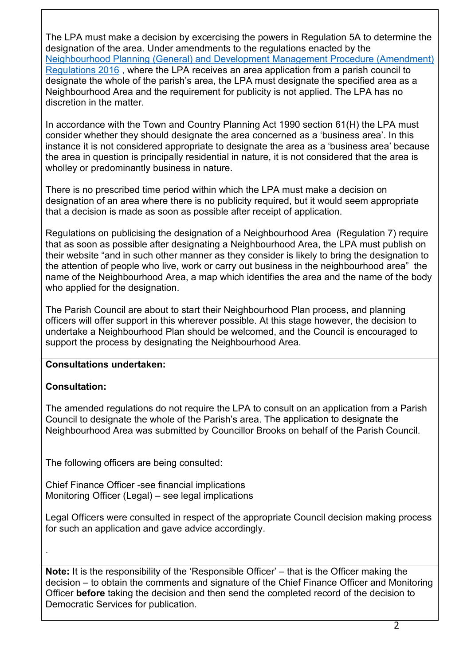The LPA must make a decision by excercising the powers in Regulation 5A to determine the designation of the area. Under amendments to the regulations enacted by the [Neighbourhood Planning \(General\) and Development Management Procedure \(Amendment\)](https://www.legislation.gov.uk/uksi/2016/873/contents/made)  [Regulations 2016](https://www.legislation.gov.uk/uksi/2016/873/contents/made) , where the LPA receives an area application from a parish council to designate the whole of the parish's area, the LPA must designate the specified area as a Neighbourhood Area and the requirement for publicity is not applied. The LPA has no discretion in the matter.

In accordance with the Town and Country Planning Act 1990 section 61(H) the LPA must consider whether they should designate the area concerned as a 'business area'. In this instance it is not considered appropriate to designate the area as a 'business area' because the area in question is principally residential in nature, it is not considered that the area is wholley or predominantly business in nature.

There is no prescribed time period within which the LPA must make a decision on designation of an area where there is no publicity required, but it would seem appropriate that a decision is made as soon as possible after receipt of application.

Regulations on publicising the designation of a Neighbourhood Area (Regulation 7) require that as soon as possible after designating a Neighbourhood Area, the LPA must publish on their website "and in such other manner as they consider is likely to bring the designation to the attention of people who live, work or carry out business in the neighbourhood area" the name of the Neighbourhood Area, a map which identifies the area and the name of the body who applied for the designation.

The Parish Council are about to start their Neighbourhood Plan process, and planning officers will offer support in this wherever possible. At this stage however, the decision to undertake a Neighbourhood Plan should be welcomed, and the Council is encouraged to support the process by designating the Neighbourhood Area.

### **Consultations undertaken:**

### **Consultation:**

.

The amended regulations do not require the LPA to consult on an application from a Parish Council to designate the whole of the Parish's area. The application to designate the Neighbourhood Area was submitted by Councillor Brooks on behalf of the Parish Council.

The following officers are being consulted:

Chief Finance Officer -see financial implications Monitoring Officer (Legal) – see legal implications

Legal Officers were consulted in respect of the appropriate Council decision making process for such an application and gave advice accordingly.

**Note:** It is the responsibility of the 'Responsible Officer' – that is the Officer making the decision – to obtain the comments and signature of the Chief Finance Officer and Monitoring Officer **before** taking the decision and then send the completed record of the decision to Democratic Services for publication.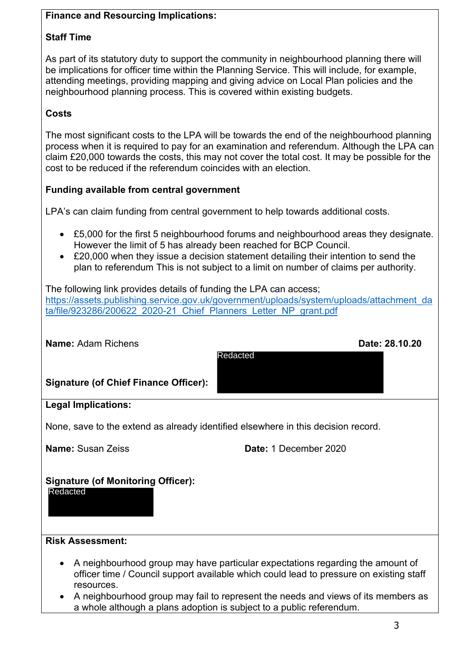## **Finance and Resourcing Implications:**

## **Staff Time**

As part of its statutory duty to support the community in neighbourhood planning there will be implications for officer time within the Planning Service. This will include, for example, attending meetings, providing mapping and giving advice on Local Plan policies and the neighbourhood planning process. This is covered within existing budgets.

## **Costs**

The most significant costs to the LPA will be towards the end of the neighbourhood planning process when it is required to pay for an examination and referendum. Although the LPA can claim £20,000 towards the costs, this may not cover the total cost. It may be possible for the cost to be reduced if the referendum coincides with an election.

## **Funding available from central government**

LPA's can claim funding from central government to help towards additional costs.

- £5,000 for the first 5 neighbourhood forums and neighbourhood areas they designate. However the limit of 5 has already been reached for BCP Council.
- £20,000 when they issue a decision statement detailing their intention to send the plan to referendum This is not subject to a limit on number of claims per authority.

The following link provides details of funding the LPA can access; [https://assets.publishing.service.gov.uk/government/uploads/system/uploads/attachment\\_da](https://assets.publishing.service.gov.uk/government/uploads/system/uploads/attachment_data/file/923286/200622_2020-21_Chief_Planners_Letter_NP_grant.pdf) [ta/file/923286/200622\\_2020-21\\_Chief\\_Planners\\_Letter\\_NP\\_grant.pdf](https://assets.publishing.service.gov.uk/government/uploads/system/uploads/attachment_data/file/923286/200622_2020-21_Chief_Planners_Letter_NP_grant.pdf)

| <b>Name: Adam Richens</b><br>Redacted                                                                                                                                                                                                                                                                                                                             | Date: 28.10.20        |  |  |  |  |
|-------------------------------------------------------------------------------------------------------------------------------------------------------------------------------------------------------------------------------------------------------------------------------------------------------------------------------------------------------------------|-----------------------|--|--|--|--|
| <b>Signature (of Chief Finance Officer):</b>                                                                                                                                                                                                                                                                                                                      |                       |  |  |  |  |
| <b>Legal Implications:</b>                                                                                                                                                                                                                                                                                                                                        |                       |  |  |  |  |
| None, save to the extend as already identified elsewhere in this decision record.                                                                                                                                                                                                                                                                                 |                       |  |  |  |  |
| <b>Name: Susan Zeiss</b>                                                                                                                                                                                                                                                                                                                                          | Date: 1 December 2020 |  |  |  |  |
| <b>Signature (of Monitoring Officer):</b><br>Redacted                                                                                                                                                                                                                                                                                                             |                       |  |  |  |  |
| <b>Risk Assessment:</b>                                                                                                                                                                                                                                                                                                                                           |                       |  |  |  |  |
| A neighbourhood group may have particular expectations regarding the amount of<br>$\bullet$<br>officer time / Council support available which could lead to pressure on existing staff<br>resources.<br>A neighbourhood group may fail to represent the needs and views of its members as<br>a whole although a plans adoption is subject to a public referendum. |                       |  |  |  |  |
|                                                                                                                                                                                                                                                                                                                                                                   |                       |  |  |  |  |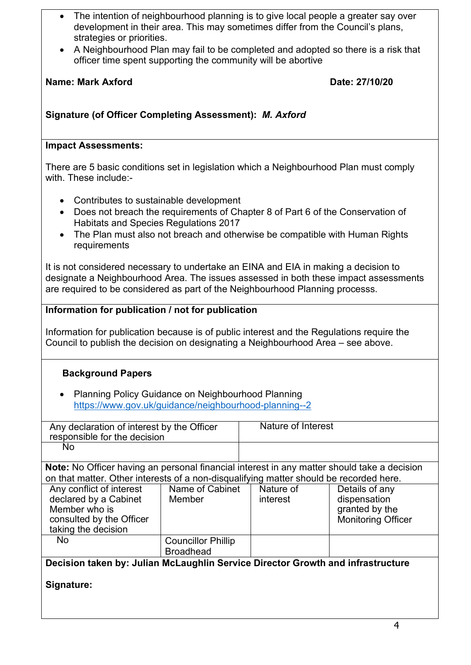- The intention of neighbourhood planning is to give local people a greater say over development in their area. This may sometimes differ from the Council's plans, strategies or priorities.
- A Neighbourhood Plan may fail to be completed and adopted so there is a risk that officer time spent supporting the community will be abortive

### **Name: Mark Axford Date: 27/10/20**

## **Signature (of Officer Completing Assessment):** *M. Axford*

#### **Impact Assessments:**

There are 5 basic conditions set in legislation which a Neighbourhood Plan must comply with. These include:-

- Contributes to sustainable development
- Does not breach the requirements of Chapter 8 of Part 6 of the Conservation of Habitats and Species Regulations 2017
- The Plan must also not breach and otherwise be compatible with Human Rights requirements

It is not considered necessary to undertake an EINA and EIA in making a decision to designate a Neighbourhood Area. The issues assessed in both these impact assessments are required to be considered as part of the Neighbourhood Planning processs.

## **Information for publication / not for publication**

Information for publication because is of public interest and the Regulations require the Council to publish the decision on designating a Neighbourhood Area – see above.

## **Background Papers**

• Planning Policy Guidance on Neighbourhood Planning <https://www.gov.uk/guidance/neighbourhood-planning--2>

| Any declaration of interest by the Officer                                                                        |                           | Nature of Interest |                           |  |  |
|-------------------------------------------------------------------------------------------------------------------|---------------------------|--------------------|---------------------------|--|--|
| responsible for the decision                                                                                      |                           |                    |                           |  |  |
| No.                                                                                                               |                           |                    |                           |  |  |
|                                                                                                                   |                           |                    |                           |  |  |
| Note: No Officer having an personal financial interest in any matter should take a decision                       |                           |                    |                           |  |  |
| on that matter. Other interests of a non-disqualifying matter should be recorded here.                            |                           |                    |                           |  |  |
| Any conflict of interest                                                                                          | Name of Cabinet           | Nature of          | Details of any            |  |  |
| declared by a Cabinet                                                                                             | Member                    | interest           | dispensation              |  |  |
| Member who is                                                                                                     |                           |                    | granted by the            |  |  |
| consulted by the Officer                                                                                          |                           |                    | <b>Monitoring Officer</b> |  |  |
| taking the decision                                                                                               |                           |                    |                           |  |  |
| No.                                                                                                               | <b>Councillor Phillip</b> |                    |                           |  |  |
|                                                                                                                   |                           |                    |                           |  |  |
|                                                                                                                   |                           |                    |                           |  |  |
|                                                                                                                   |                           |                    |                           |  |  |
|                                                                                                                   |                           |                    |                           |  |  |
|                                                                                                                   |                           |                    |                           |  |  |
|                                                                                                                   |                           |                    |                           |  |  |
| <b>Broadhead</b><br>Decision taken by: Julian McLaughlin Service Director Growth and infrastructure<br>Signature: |                           |                    |                           |  |  |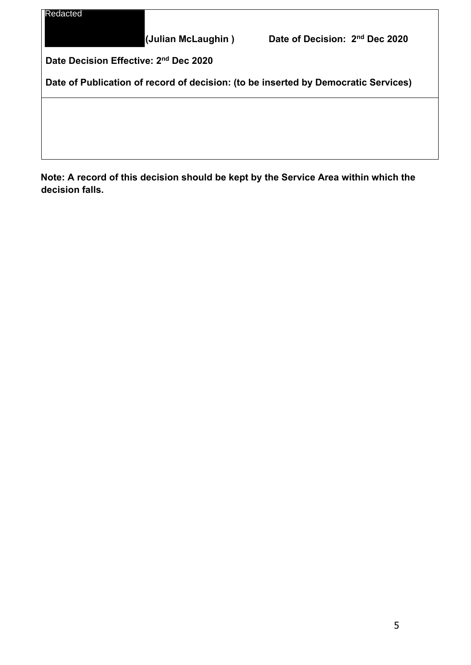

 **Note: A record of this decision should be kept by the Service Area within which the decision falls.**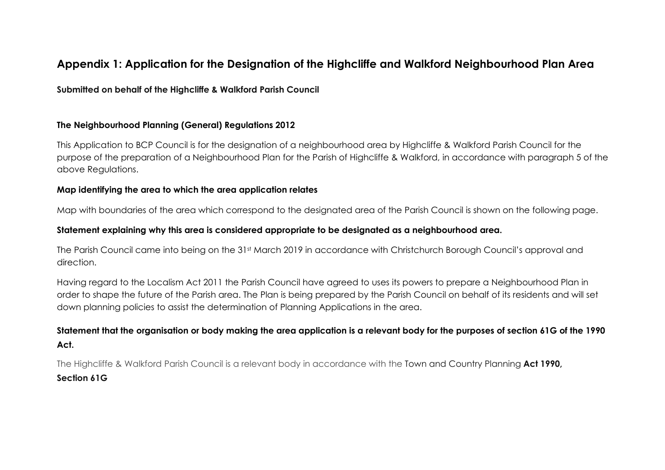# **Appendix 1: Application for the Designation of the Highcliffe and Walkford Neighbourhood Plan Area**

**Submitted on behalf of the Highcliffe & Walkford Parish Council**

#### **The Neighbourhood Planning (General) Regulations 2012**

This Application to BCP Council is for the designation of a neighbourhood area by Highcliffe & Walkford Parish Council for the purpose of the preparation of a Neighbourhood Plan for the Parish of Highcliffe & Walkford, in accordance with paragraph 5 of the above Regulations.

#### **Map identifying the area to which the area application relates**

Map with boundaries of the area which correspond to the designated area of the Parish Council is shown on the following page.

#### **Statement explaining why this area is considered appropriate to be designated as a neighbourhood area.**

The Parish Council came into being on the 31<sup>st</sup> March 2019 in accordance with Christchurch Borough Council's approval and direction.

Having regard to the Localism Act 2011 the Parish Council have agreed to uses its powers to prepare a Neighbourhood Plan in order to shape the future of the Parish area. The Plan is being prepared by the Parish Council on behalf of its residents and will set down planning policies to assist the determination of Planning Applications in the area.

## **Statement that the organisation or body making the area application is a relevant body for the purposes of section 61G of the 1990 Act.**

The Highcliffe & Walkford Parish Council is a relevant body in accordance with the Town and Country Planning **Act 1990, Section 61G**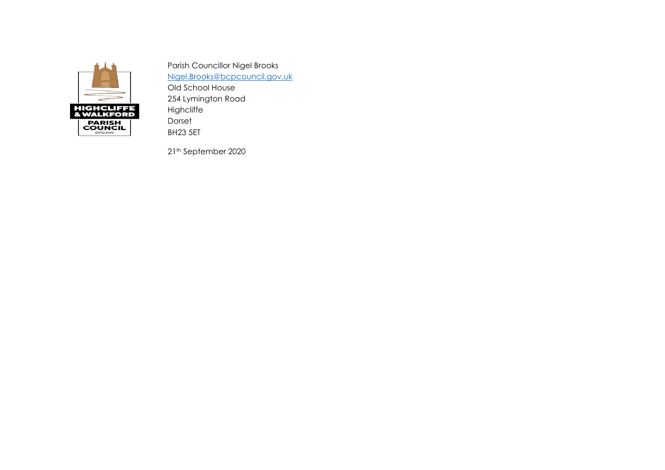

Parish Councillor Nigel Brooks [Nigel.Brooks@bcpcouncil.gov.uk](mailto:Nigel.Brooks@bcpcouncil.gov.uk)  Old School House 254 Lymington Road Highcliffe Dorset BH23 5ET

21th September 2020